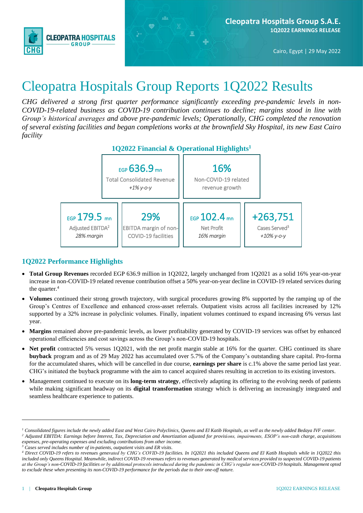

# Cleopatra Hospitals Group Reports 1Q2022 Results

*CHG delivered a strong first quarter performance significantly exceeding pre-pandemic levels in non-COVID-19-related business as COVID-19 contribution continues to decline; margins stood in line with Group's historical averages and above pre-pandemic levels; Operationally, CHG completed the renovation of several existing facilities and began completions works at the brownfield Sky Hospital, its new East Cairo facility*



## **1Q2022 Performance Highlights**

- **Total Group Revenues** recorded EGP 636.9 million in 1Q2022, largely unchanged from 1Q2021 as a solid 16% year-on-year increase in non-COVID-19 related revenue contribution offset a 50% year-on-year decline in COVID-19 related services during the quarter.<sup>4</sup>
- **Volumes** continued their strong growth trajectory, with surgical procedures growing 8% supported by the ramping up of the Group's Centres of Excellence and enhanced cross-asset referrals. Outpatient visits across all facilities increased by 12% supported by a 32% increase in polyclinic volumes. Finally, inpatient volumes continued to expand increasing 6% versus last year.
- **Margins** remained above pre-pandemic levels, as lower profitability generated by COVID-19 services was offset by enhanced operational efficiencies and cost savings across the Group's non-COVID-19 hospitals.
- **Net profit** contracted 5% versus 1Q2021, with the net profit margin stable at 16% for the quarter. CHG continued its share **buyback** program and as of 29 May 2022 has accumulated over 5.7% of the Company's outstanding share capital. Pro-forma for the accumulated shares, which will be cancelled in due course, **earnings per share** is c.1% above the same period last year. CHG's initiated the buyback programme with the aim to cancel acquired shares resulting in accretion to its existing investors.
- Management continued to execute on its **long-term strategy**, effectively adapting its offering to the evolving needs of patients while making significant headway on its **digital transformation** strategy which is delivering an increasingly integrated and seamless healthcare experience to patients.

*<sup>1</sup> Consolidated figures include the newly added East and West Cairo Polyclinics, Queens and El Katib Hospitals, as well as the newly added Bedaya IVF center. <sup>2</sup> Adjusted EBITDA: Earnings before Interest, Tax, Depreciation and Amortization adjusted for provisions, impairments, ESOP's non-cash charge, acquisitions expenses, pre-operating expenses and excluding contributions from other income.*

*<sup>3</sup> Cases served includes number of in-patients, outpatient visits and ER visits.*

*<sup>4</sup> Direct COVID-19 refers to revenues generated by CHG's COVID-19 facilities. In 1Q2021 this included Queens and El Katib Hospitals while in 1Q2022 this included only Queens Hospital. Meanwhile, indirect COVID-19 revenues refers to revenues generated by medical services provided to suspected COVID-19 patients at the Group's non-COVID-19 facilities or by additional protocols introduced during the pandemic in CHG's regular non-COVID-19 hospitals. Management opted to exclude these when presenting its non-COVID-19 performance for the periods due to their one-off nature.*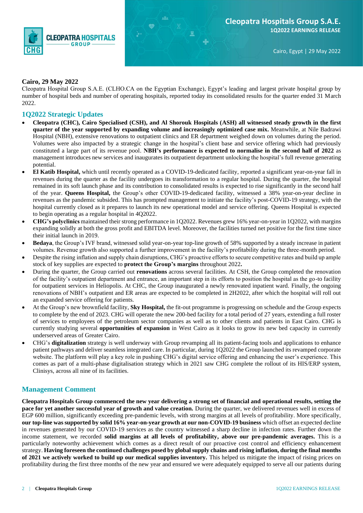

### **Cairo, 29 May 2022**

Cleopatra Hospital Group S.A.E. (CLHO.CA on the Egyptian Exchange), Egypt's leading and largest private hospital group by number of hospital beds and number of operating hospitals, reported today its consolidated results for the quarter ended 31 March 2022.

### **1Q2022 Strategic Updates**

- **Cleopatra (CHC), Cairo Specialised (CSH), and Al Shorouk Hospitals (ASH) all witnessed steady growth in the first quarter of the year supported by expanding volume and increasingly optimized case mix.** Meanwhile, at Nile Badrawi Hospital (NBH), extensive renovations to outpatient clinics and ER department weighed down on volumes during the period. Volumes were also impacted by a strategic change in the hospital's client base and service offering which had previously constituted a large part of its revenue pool. **NBH's performance is expected to normalise in the second half of 2022** as management introduces new services and inaugurates its outpatient department unlocking the hospital's full revenue generating potential.
- **El Katib Hospital,** which until recently operated as a COVID-19-dedicated facility, reported a significant year-on-year fall in revenues during the quarter as the facility undergoes its transformation to a regular hospital. During the quarter, the hospital remained in its soft launch phase and its contribution to consolidated results is expected to rise significantly in the second half of the year. **Queens Hospital,** the Group's other COVID-19-dedicated facility, witnessed a 38% year-on-year decline in revenues as the pandemic subsided. This has prompted management to initiate the facility's post-COVID-19 strategy, with the hospital currently closed as it prepares to launch its new operational model and service offering. Queens Hospital is expected to begin operating as a regular hospital in 4Q2022.
- **CHG's polyclinics** maintained their strong performance in 1Q2022. Revenues grew 16% year-on-year in 1Q2022, with margins expanding solidly at both the gross profit and EBITDA level. Moreover, the facilities turned net positive for the first time since their initial launch in 2019.
- **Bedaya**, the Group's IVF brand, witnessed solid year-on-year top-line growth of 58% supported by a steady increase in patient volumes. Revenue growth also supported a further improvement in the facility's profitability during the three-month period.
- Despite the rising inflation and supply chain disruptions, CHG's proactive efforts to secure competitive rates and build up ample stock of key supplies are expected to **protect the Group's margins** throughout 2022**.**
- During the quarter, the Group carried out **renovations** across several facilities. At CSH, the Group completed the renovation of the facility's outpatient department and entrance, an important step in its efforts to position the hospital as the go-to facility for outpatient services in Heliopolis. At CHC, the Group inaugurated a newly renovated inpatient ward. Finally, the ongoing renovations of NBH's outpatient and ER areas are expected to be completed in 2H2022, after which the hospital will roll out an expanded service offering for patients.
- At the Group's new brownfield facility, **Sky Hospital,** the fit-out programme is progressing on schedule and the Group expects to complete by the end of 2023. CHG will operate the new 200-bed facility for a total period of 27 years, extending a full roster of services to employees of the petroleum sector companies as well as to other clients and patients in East Cairo. CHG is currently studying several **opportunities of expansion** in West Cairo as it looks to grow its new bed capacity in currently underserved areas of Greater Cairo.
- CHG's **digitalization** strategy is well underway with Group revamping all its patient-facing tools and applications to enhance patient pathways and deliver seamless integrated care. In particular, during 1Q2022 the Group launched its revamped corporate website. The platform will play a key role in pushing CHG's digital service offering and enhancing the user's experience. This comes as part of a multi-phase digitalisation strategy which in 2021 saw CHG complete the rollout of its HIS/ERP system, Clinisys, across all nine of its facilities.

### **Management Comment**

**Cleopatra Hospitals Group commenced the new year delivering a strong set of financial and operational results, setting the pace for yet another successful year of growth and value creation.** During the quarter, we delivered revenues well in excess of EGP 600 million, significantly exceeding pre-pandemic levels, with strong margins at all levels of profitability. More specifically, **our top-line was supported by solid 16% year-on-year growth at our non-COVID-19 business** which offset an expected decline in revenues generated by our COVID-19 services as the country witnessed a sharp decline in infection rates. Further down the income statement, we recorded **solid margins at all levels of profitability, above our pre-pandemic averages.** This is a particularly noteworthy achievement which comes as a direct result of our proactive cost control and efficiency enhancement strategy. **Having foreseen the continued challenges posed by global supply chains and rising inflation, during the final months of 2021 we actively worked to build up our medical supplies inventory.** This helped us mitigate the impact of rising prices on profitability during the first three months of the new year and ensured we were adequately equipped to serve all our patients during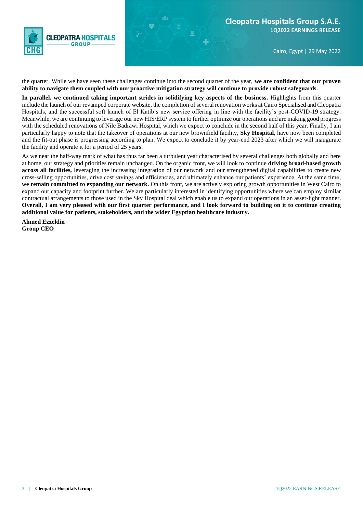

the quarter. While we have seen these challenges continue into the second quarter of the year, **we are confident that our proven ability to navigate them coupled with our proactive mitigation strategy will continue to provide robust safeguards.**

**In parallel, we continued taking important strides in solidifying key aspects of the business.** Highlights from this quarter include the launch of our revamped corporate website, the completion of several renovation works at Cairo Specialised and Cleopatra Hospitals, and the successful soft launch of El Katib's new service offering in line with the facility's post-COVID-19 strategy. Meanwhile, we are continuing to leverage our new HIS/ERP system to further optimize our operations and are making good progress with the scheduled renovations of Nile Badrawi Hospital, which we expect to conclude in the second half of this year. Finally, I am particularly happy to note that the takeover of operations at our new brownfield facility, **Sky Hospital,** have now been completed and the fit-out phase is progressing according to plan. We expect to conclude it by year-end 2023 after which we will inaugurate the facility and operate it for a period of 25 years.

As we near the half-way mark of what has thus far been a turbulent year characterised by several challenges both globally and here at home, our strategy and priorities remain unchanged. On the organic front, we will look to continue **driving broad-based growth across all facilities,** leveraging the increasing integration of our network and our strengthened digital capabilities to create new cross-selling opportunities, drive cost savings and efficiencies, and ultimately enhance our patients' experience. At the same time, **we remain committed to expanding our network.** On this front, we are actively exploring growth opportunities in West Cairo to expand our capacity and footprint further. We are particularly interested in identifying opportunities where we can employ similar contractual arrangements to those used in the Sky Hospital deal which enable us to expand our operations in an asset-light manner. **Overall, I am very pleased with our first quarter performance, and I look forward to building on it to continue creating additional value for patients, stakeholders, and the wider Egyptian healthcare industry.**

**Ahmed Ezzeldin Group CEO**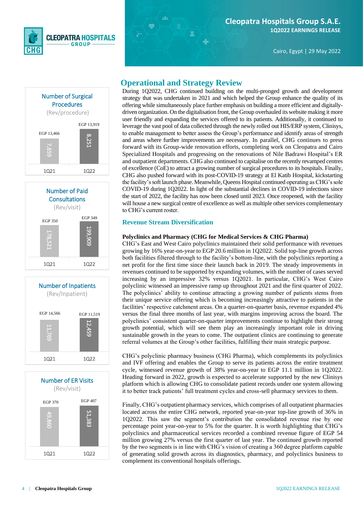



199,909<br>178,521<br>178,521 1Q21 1Q22 Number of Paid **Consultations** (Rev/visit) EGP 350 EGP 349





## **Operational and Strategy Review**

During 1Q2022, CHG continued building on the multi-pronged growth and development strategy that was undertaken in 2021 and which helped the Group enhance the quality of its offering while simultaneously place further emphasis on building a more efficient and digitallydriven organization. On the digitalisation front, the Group overhauled its website making it more user friendly and expanding the services offered to its patients. Additionally, it continued to leverage the vast pool of data collected through the newly rolled out HIS/ERP system, Clinisys, to enable management to better assess the Group's performance and identify areas of strength and areas where further improvements are necessary. In parallel, CHG continues to press forward with its Group-wide renovation efforts, completing work on Cleopatra and Cairo Specialized Hospitals and progressing on the renovations of Nile Badrawi Hospital's ER and outpatient departments.CHG also continued to capitalise on the recently revamped centres of excellence (CoE) to attract a growing number of surgical procedures to its hospitals. Finally, CHG also pushed forward with its post-COVID-19 strategy at El Katib Hospital, kickstarting the facility's soft launch phase. Meanwhile, Queens Hospital continued operating as CHG's sole COVID-19 during 1Q2022. In light of the substantial declines in COVID-19 infections since the start of 2022, the facility has now been closed until 2023. Once reopened, with the facility will house a new surgical centre of excellence as well as multiple other services complementary to CHG's current roster.

### **Revenue Stream Diversification**

### **Polyclinics and Pharmacy (CHG for Medical Services & CHG Pharma)**

CHG's East and West Cairo polyclinics maintained their solid performance with revenues growing by 16% year-on-year to EGP 20.6 million in 1Q2022. Solid top-line growth across both facilities filtered through to the facility's bottom-line, with the polyclinics reporting a net profit for the first time since their launch back in 2019. The steady improvements in revenues continued to be supported by expanding volumes, with the number of cases served increasing by an impressive 32% versus 1Q2021. In particular, CHG's West Cairo polyclinic witnessed an impressive ramp up throughout 2021 and the first quarter of 2022. The polyclinics' ability to continue attracting a growing number of patients stems from their unique service offering which is becoming increasingly attractive to patients in the facilities' respective catchment areas. On a quarter-on-quarter basis, revenue expanded 4% versus the final three months of last year, with margins improving across the board. The polyclinics' consistent quarter-on-quarter improvements continue to highlight their strong growth potential, which will see them play an increasingly important role in driving sustainable growth in the years to come. The outpatient clinics are continuing to generate referral volumes at the Group's other facilities, fulfilling their main strategic purpose.

CHG's polyclinic pharmacy business (CHG Pharma), which complements its polyclinics and IVF offering and enables the Group to serve its patients across the entire treatment cycle, witnessed revenue growth of 38% year-on-year to EGP 11.1 million in 1Q2022. Heading forward in 2022, growth is expected to accelerate supported by the new Clinisys platform which is allowing CHG to consolidate patient records under one system allowing it to better track patients' full treatment cycles and cross-sell pharmacy services to them.

Finally, CHG's outpatient pharmacy services, which comprises of all outpatient pharmacies located across the entire CHG network, reported year-on-year top-line growth of 36% in 1Q2022. This saw the segment's contribution the consolidated revenue rise by one percentage point year-on-year to 5% for the quarter. It is worth highlighting that CHG's polyclinics and pharmaceutical services recorded a combined revenue figure of EGP 54 million growing 27% versus the first quarter of last year. The continued growth reported by the two segments is in line with CHG's vision of creating a 360 degree platform capable of generating solid growth across its diagnostics, pharmacy, and polyclinics business to complement its conventional hospitals offerings.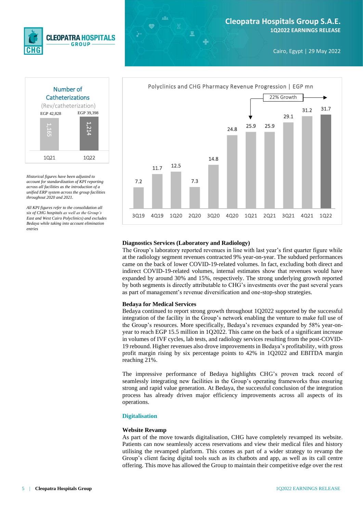



*Historical figures have been adjusted to account for standardization of KPI reporting across all facilities as the introduction of a unified ERP system across the group facilities throughout 2020 and 2021.* 

*All KPI figures refer to the consolidation all six of CHG hospitals as well as the Group's East and West Cairo Polyclinics) and excludes Bedaya while taking into account elimination entries* 

Cairo, Egypt | 29 May 2022



#### **Diagnostics Services (Laboratory and Radiology)**

The Group's laboratory reported revenues in line with last year's first quarter figure while at the radiology segment revenues contracted 9% year-on-year. The subdued performances came on the back of lower COVID-19-related volumes. In fact, excluding both direct and indirect COVID-19-related volumes, internal estimates show that revenues would have expanded by around 30% and 15%, respectively. The strong underlying growth reported by both segments is directly attributable to CHG's investments over the past several years as part of management's revenue diversification and one-stop-shop strategies.

#### **Bedaya for Medical Services**

Bedaya continued to report strong growth throughout 1Q2022 supported by the successful integration of the facility in the Group's network enabling the venture to make full use of the Group's resources. More specifically, Bedaya's revenues expanded by 58% year-onyear to reach EGP 15.5 million in 1Q2022. This came on the back of a significant increase in volumes of IVF cycles, lab tests, and radiology services resulting from the post-COVID-19 rebound. Higher revenues also drove improvements in Bedaya's profitability, with gross profit margin rising by six percentage points to 42% in 1Q2022 and EBITDA margin reaching 21%.

The impressive performance of Bedaya highlights CHG's proven track record of seamlessly integrating new facilities in the Group's operating frameworks thus ensuring strong and rapid value generation. At Bedaya, the successful conclusion of the integration process has already driven major efficiency improvements across all aspects of its operations.

#### **Digitalisation**

#### **Website Revamp**

As part of the move towards digitalisation, CHG have completely revamped its website. Patients can now seamlessly access reservations and view their medical files and history utilising the revamped platform. This comes as part of a wider strategy to revamp the Group's client facing digital tools such as its chatbots and app, as well as its call centre offering. This move has allowed the Group to maintain their competitive edge over the rest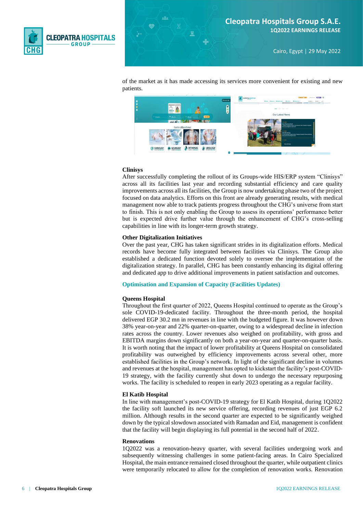

of the market as it has made accessing its services more convenient for existing and new patients.



#### **Clinisys**

After successfully completing the rollout of its Groups-wide HIS/ERP system "Clinisys" across all its facilities last year and recording substantial efficiency and care quality improvements across all its facilities, the Group is now undertaking phase two of the project focused on data analytics. Efforts on this front are already generating results, with medical management now able to track patients progress throughout the CHG's universe from start to finish. This is not only enabling the Group to assess its operations' performance better but is expected drive further value through the enhancement of CHG's cross-selling capabilities in line with its longer-term growth strategy.

#### **Other Digitalization Initiatives**

Over the past year, CHG has taken significant strides in its digitalization efforts. Medical records have become fully integrated between facilities via Clinisys. The Group also established a dedicated function devoted solely to oversee the implementation of the digitalization strategy. In parallel, CHG has been constantly enhancing its digital offering and dedicated app to drive additional improvements in patient satisfaction and outcomes.

**Optimisation and Expansion of Capacity (Facilities Updates)**

#### **Queens Hospital**

Throughout the first quarter of 2022, Queens Hospital continued to operate as the Group's sole COVID-19-dedicated facility. Throughout the three-month period, the hospital delivered EGP 30.2 mn in revenues in line with the budgeted figure. It was however down 38% year-on-year and 22% quarter-on-quarter, owing to a widespread decline in infection rates across the country. Lower revenues also weighed on profitability, with gross and EBITDA margins down significantly on both a year-on-year and quarter-on-quarter basis. It is worth noting that the impact of lower profitability at Queens Hospital on consolidated profitability was outweighed by efficiency improvements across several other, more established facilities in the Group's network. In light of the significant decline in volumes and revenues at the hospital, management has opted to kickstart the facility's post-COVID-19 strategy, with the facility currently shut down to undergo the necessary repurposing works. The facility is scheduled to reopen in early 2023 operating as a regular facility.

#### **El Katib Hospital**

In line with management's post-COVID-19 strategy for El Katib Hospital, during 1Q2022 the facility soft launched its new service offering, recording revenues of just EGP 6.2 million. Although results in the second quarter are expected to be significantly weighed down by the typical slowdown associated with Ramadan and Eid, management is confident that the facility will begin displaying its full potential in the second half of 2022.

#### **Renovations**

1Q2022 was a renovation-heavy quarter, with several facilities undergoing work and subsequently witnessing challenges in some patient-facing areas. In Cairo Specialized Hospital, the main entrance remained closed throughout the quarter, while outpatient clinics were temporarily relocated to allow for the completion of renovation works. Renovation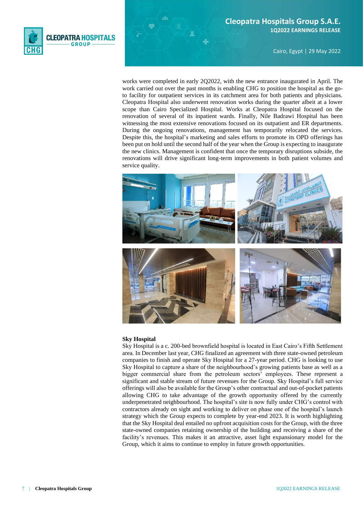

works were completed in early 2Q2022, with the new entrance inaugurated in April. The work carried out over the past months is enabling CHG to position the hospital as the goto facility for outpatient services in its catchment area for both patients and physicians. Cleopatra Hospital also underwent renovation works during the quarter albeit at a lower scope than Cairo Specialized Hospital. Works at Cleopatra Hospital focused on the renovation of several of its inpatient wards. Finally, Nile Badrawi Hospital has been witnessing the most extensive renovations focused on its outpatient and ER departments. During the ongoing renovations, management has temporarily relocated the services. Despite this, the hospital's marketing and sales efforts to promote its OPD offerings has been put on hold until the second half of the year when the Group is expecting to inaugurate the new clinics. Management is confident that once the temporary disruptions subside, the renovations will drive significant long-term improvements in both patient volumes and service quality.



#### **Sky Hospital**

Sky Hospital is a c. 200-bed brownfield hospital is located in East Cairo's Fifth Settlement area. In December last year, CHG finalized an agreement with three state-owned petroleum companies to finish and operate Sky Hospital for a 27-year period. CHG is looking to use Sky Hospital to capture a share of the neighbourhood's growing patients base as well as a bigger commercial share from the petroleum sectors' employees. These represent a significant and stable stream of future revenues for the Group. Sky Hospital's full service offerings will also be available for the Group's other contractual and out-of-pocket patients allowing CHG to take advantage of the growth opportunity offered by the currently underpenetrated neighbourhood. The hospital's site is now fully under CHG's control with contractors already on sight and working to deliver on phase one of the hospital's launch strategy which the Group expects to complete by year-end 2023. It is worth highlighting that the Sky Hospital deal entailed no upfront acquisition costs for the Group, with the three state-owned companies retaining ownership of the building and receiving a share of the facility's revenues. This makes it an attractive, asset light expansionary model for the Group, which it aims to continue to employ in future growth opportunities.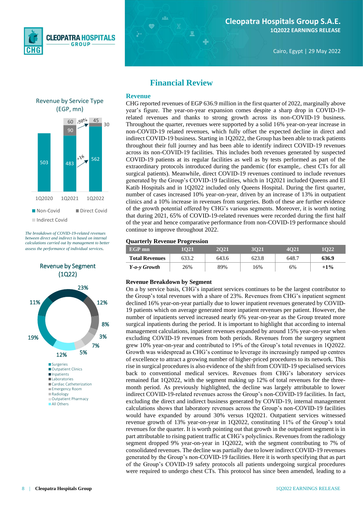

Revenue by Service Type (EGP, mn)

## **Financial Review**

#### **Revenue**

 $\frac{60}{50\%}$  45 30 90  $\lambda^6$ 562 503 483 1Q2020 1Q2021 1Q2022 ■ Non-Covid ■ Direct Covid Indirect Covid

*The breakdown of COVID-19-related revenues between direct and indirect is based on internal calculations carried out by management to better assess the performance of individual services.*



CHG reported revenues of EGP 636.9 million in the first quarter of 2022, marginally above year's figure. The year-on-year expansion comes despite a sharp drop in COVID-19 related revenues and thanks to strong growth across its non-COVID-19 business. Throughout the quarter, revenues were supported by a solid 16% year-on-year increase in non-COVID-19 related revenues, which fully offset the expected decline in direct and indirect COVID-19 business. Starting in 1Q2022, the Group has been able to track patients throughout their full journey and has been able to identify indirect COVID-19 revenues across its non-COVID-19 facilities. This includes both revenues generated by suspected COVID-19 patients at its regular facilities as well as by tests performed as part of the extraordinary protocols introduced during the pandemic (for example,. chest CTs for all surgical patients). Meanwhile, direct COVID-19 revenues continued to include revenues generated by the Group's COVID-19 facilities, which in 1Q2021 included Queens and El Katib Hospitals and in 1Q2022 included only Queens Hospital. During the first quarter, number of cases increased 10% year-on-year, driven by an increase of 13% in outpatient clinics and a 10% increase in revenues from surgeries. Both of these are further evidence of the growth potential offered by CHG's various segments. Moreover, it is worth noting that during 2021, 65% of COVID-19-related revenues were recorded during the first half of the year and hence comparative performance from non-COVID-19 performance should continue to improve throughout 2022.

#### **Quarterly Revenue Progression**

| EGP mn                | 1021  | 2021  | 3021  | 4021  | 1022   |
|-----------------------|-------|-------|-------|-------|--------|
| <b>Total Revenues</b> | 633.2 | 643.6 | 623.8 | 648.7 | 636.9  |
| Y-o-y Growth          | 26%   | 89%   | 16%   | 6%    | $+1\%$ |

#### **Revenue Breakdown by Segment**

On a by service basis, CHG's inpatient services continues to be the largest contributor to the Group's total revenues with a share of 23%. Revenues from CHG's inpatient segment declined 16% year-on-year partially due to lower inpatient revenues generated by COVID-19 patients which on average generated more inpatient revenues per patient. However, the number of inpatients served increased nearly 6% year-on-year as the Group treated more surgical inpatients during the period. It is important to highlight that according to internal management calculations, inpatient revenues expanded by around 15% year-on-year when excluding COVID-19 revenues from both periods. Revenues from the surgery segment grew 10% year-on-year and contributed to 19% of the Group's total revenues in 1Q2022. Growth was widespread as CHG's continue to leverage its increasingly ramped up centres of excellence to attract a growing number of higher-priced procedures to its network. This rise in surgical procedures is also evidence of the shift from COVID-19 specialised services back to conventional medical services. Revenues from CHG's laboratory services remained flat 1Q2022, with the segment making up 12% of total revenues for the threemonth period. As previously highlighted, the decline was largely attributable to lower indirect COVID-19-related revenues across the Group's non-COVID-19 facilities. In fact, excluding the direct and indirect business generated by COVID-19, internal management calculations shows that laboratory revenues across the Group's non-COVID-19 facilities would have expanded by around 30% versus 1Q2021. Outpatient services witnessed revenue growth of 13% year-on-year in 1Q2022, constituting 11% of the Group's total revenues for the quarter. It is worth pointing out that growth in the outpatient segment is in part attributable to rising patient traffic at CHG's polyclinics. Revenues from the radiology segment dropped 9% year-on-year in 1Q2022, with the segment contributing to 7% of consolidated revenues. The decline was partially due to lower indirect COVID-19 revenues generated by the Group's non-COVID-19 facilities. Here it is worth specifying that as part of the Group's COVID-19 safety protocols all patients undergoing surgical procedures were required to undergo chest CTs. This protocol has since been amended, leading to a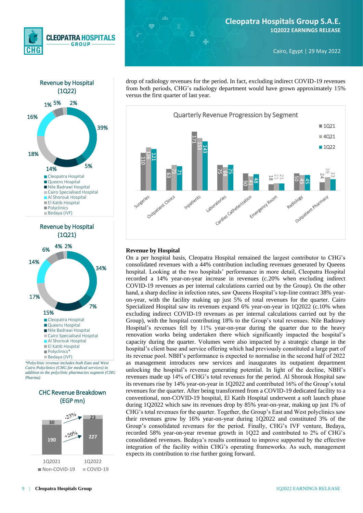





*Cairo Polyclinics (CHG for medical services) in addition to the polyclinic pharmacies segment (CHG Pharma)*



Non-COVID-19 COVID-19

drop of radiology revenues for the period. In fact, excluding indirect COVID-19 revenues from both periods, CHG's radiology department would have grown approximately 15% versus the first quarter of last year.



#### **Revenue by Hospital**

On a per hospital basis, Cleopatra Hospital remained the largest contributor to CHG's consolidated revenues with a 44% contribution including revenues generated by Queens hospital. Looking at the two hospitals' performance in more detail, Cleopatra Hospital recorded a 14% year-on-year increase in revenues (c.20% when excluding indirect COVID-19 revenues as per internal calculations carried out by the Group). On the other hand, a sharp decline in infection rates, saw Queens Hospital's top-line contract 38% yearon-year, with the facility making up just 5% of total revenues for the quarter. Cairo Specialized Hospital saw its revenues expand 6% year-on-year in 1Q2022 (c.10% when excluding indirect COVID-19 revenues as per internal calculations carried out by the Group), with the hospital contributing 18% to the Group's total revenues. Nile Badrawy Hospital's revenues fell by 11% year-on-year during the quarter due to the heavy renovation works being undertaken there which significantly impacted the hospital's capacity during the quarter. Volumes were also impacted by a strategic change in the hospital's client base and service offering which had previously constituted a large part of its revenue pool. NBH's performance is expected to normalise in the second half of 2022 as management introduces new services and inaugurates its outpatient department unlocking the hospital's revenue generating potential. In light of the decline, NBH's revenues made up 14% of CHG's total revenues for the period. Al Shorouk Hospital saw its revenues rise by 14% year-on-year in 1Q2022 and contributed 16% of the Group's total revenues for the quarter. After being transformed from a COVID-19 dedicated facility to a conventional, non-COVID-19 hospital, El Katib Hospital underwent a soft launch phase during 1Q2022 which saw its revenues drop by 85% year-on-year, making up just 1% of CHG's total revenues for the quarter. Together, the Group's East and West polyclinics saw their revenues grow by 16% year-on-year during 1Q2022 and constituted 3% of the Group's consolidated revenues for the period. Finally, CHG's IVF venture, Bedaya, recorded 58% year-on-year revenue growth in 1Q22 and contributed to 2% of CHG's consolidated revenues. Bedaya's results continued to improve supported by the effective integration of the facility within CHG's operating frameworks. As such, management expects its contribution to rise further going forward.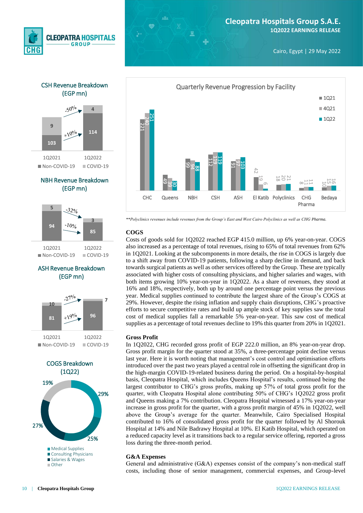





## ASH Revenue Breakdown (EGP mn)





Cairo, Egypt | 29 May 2022



*\*\*Polyclinics revenues include revenues from the Group's East and West Cairo Polyclinics as well as CHG Pharma.*

#### **COGS**

Costs of goods sold for 1Q2022 reached EGP 415.0 million, up 6% year-on-year. COGS also increased as a percentage of total revenues, rising to 65% of total revenues from 62% in 1Q2021. Looking at the subcomponents in more details, the rise in COGS is largely due to a shift away from COVID-19 patients, following a sharp decline in demand, and back towards surgical patients as well as other services offered by the Group. These are typically associated with higher costs of consulting physicians, and higher salaries and wages, with both items growing 10% year-on-year in 1Q2022. As a share of revenues, they stood at 16% and 18%, respectively, both up by around one percentage point versus the previous year. Medical supplies continued to contribute the largest share of the Group's COGS at 29%. However, despite the rising inflation and supply chain disruptions, CHG's proactive efforts to secure competitive rates and build up ample stock of key supplies saw the total cost of medical supplies fall a remarkable 5% year-on-year. This saw cost of medical supplies as a percentage of total revenues decline to 19% this quarter from 20% in 1Q2021.

#### **Gross Profit**

In 1Q2022, CHG recorded gross profit of EGP 222.0 million, an 8% year-on-year drop. Gross profit margin for the quarter stood at 35%, a three-percentage point decline versus last year. Here it is worth noting that management's cost control and optimisation efforts introduced over the past two years played a central role in offsetting the significant drop in the high-margin COVID-19-related business during the period. On a hospital-by-hospital basis, Cleopatra Hospital, which includes Queens Hospital's results, continued being the largest contributor to CHG's gross profits, making up 57% of total gross profit for the quarter, with Cleopatra Hospital alone contributing 50% of CHG's 1Q2022 gross profit and Queens making a 7% contribution. Cleopatra Hospital witnessed a 17% year-on-year increase in gross profit for the quarter, with a gross profit margin of 45% in 1Q2022, well above the Group's average for the quarter. Meanwhile, Cairo Specialised Hospital contributed to 16% of consolidated gross profit for the quarter followed by Al Shorouk Hospital at 14% and Nile Badrawy Hospital at 10%. El Katib Hospital, which operated on a reduced capacity level as it transitions back to a regular service offering, reported a gross loss during the three-month period.

#### **G&A Expenses**

General and administrative (G&A) expenses consist of the company's non-medical staff costs, including those of senior management, commercial expenses, and Group-level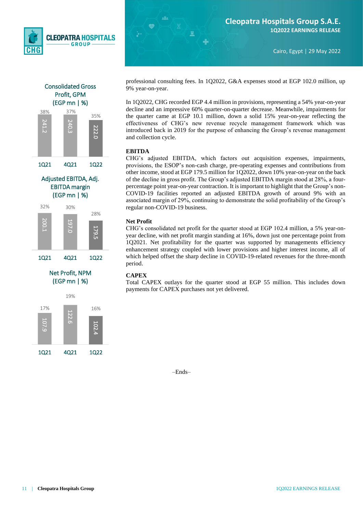



Adjusted EBITDA, Adj. EBITDA margin (EGP mn | %)

1Q21 4Q21 1Q22



Net Profit, NPM (EGP mn | %)



Cairo, Egypt | 29 May 2022

professional consulting fees. In 1Q2022, G&A expenses stood at EGP 102.0 million, up 9% year-on-year.

In 1Q2022, CHG recorded EGP 4.4 million in provisions, representing a 54% year-on-year decline and an impressive 60% quarter-on-quarter decrease. Meanwhile, impairments for the quarter came at EGP 10.1 million, down a solid 15% year-on-year reflecting the effectiveness of CHG's new revenue recycle management framework which was introduced back in 2019 for the purpose of enhancing the Group's revenue management and collection cycle.

#### **EBITDA**

CHG's adjusted EBITDA, which factors out acquisition expenses, impairments, provisions, the ESOP's non-cash charge, pre-operating expenses and contributions from other income, stood at EGP 179.5 million for 1Q2022, down 10% year-on-year on the back of the decline in gross profit. The Group's adjusted EBITDA margin stood at 28%, a fourpercentage point year-on-year contraction. It is important to highlight that the Group's non-COVID-19 facilities reported an adjusted EBITDA growth of around 9% with an associated margin of 29%, continuing to demonstrate the solid profitability of the Group's regular non-COVID-19 business.

#### **Net Profit**

CHG's consolidated net profit for the quarter stood at EGP 102.4 million, a 5% year-onyear decline, with net profit margin standing at 16%, down just one percentage point from 1Q2021. Net profitability for the quarter was supported by managements efficiency enhancement strategy coupled with lower provisions and higher interest income, all of which helped offset the sharp decline in COVID-19-related revenues for the three-month period.

#### **CAPEX**

Total CAPEX outlays for the quarter stood at EGP 55 million. This includes down payments for CAPEX purchases not yet delivered.

–Ends–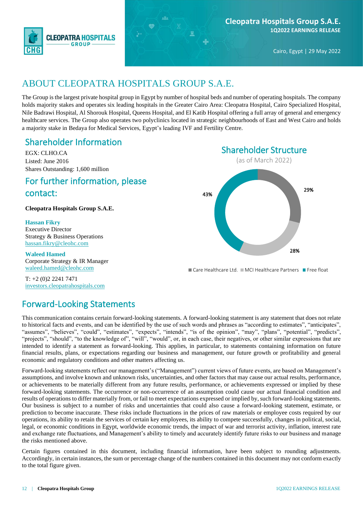

# ABOUT CLEOPATRA HOSPITALS GROUP S.A.E.

The Group is the largest private hospital group in Egypt by number of hospital beds and number of operating hospitals. The company holds majority stakes and operates six leading hospitals in the Greater Cairo Area: Cleopatra Hospital, Cairo Specialized Hospital, Nile Badrawi Hospital, Al Shorouk Hospital, Queens Hospital, and El Katib Hospital offering a full array of general and emergency healthcare services. The Group also operates two polyclinics located in strategic neighbourhoods of East and West Cairo and holds a majority stake in Bedaya for Medical Services, Egypt's leading IVF and Fertility Centre.

# Shareholder Information

EGX: CLHO.CA Listed: June 2016 Shares Outstanding: 1,600 million

# For further information, please contact:

**Cleopatra Hospitals Group S.A.E.**

**Hassan Fikry** Executive Director Strategy & Business Operations [hassan.fikry@cleohc.com](mailto:hassan.fikry@cleohc.com)

**Waleed Hamed**  Corporate Strategy & IR Manager [waleed.hamed@cleohc.com](mailto:waleed.hamed@cleohc.com)

T: +2 (0)2 2241 7471 [investors.cleopatrahospitals.com](file://///server2/Inktank%20Work%20II/1.%20Clients/Cleopatra%20Healthcare/CLEO%20Quarterly%20financial%20reporting/CLEO%20ER%202016%20Q1/investors.cleopatrahospitals.com)

# Forward-Looking Statements

This communication contains certain forward-looking statements. A forward-looking statement is any statement that does not relate to historical facts and events, and can be identified by the use of such words and phrases as "according to estimates", "anticipates", "assumes", "believes", "could", "estimates", "expects", "intends", "is of the opinion", "may", "plans", "potential", "predicts", "projects", "should", "to the knowledge of", "will", "would", or, in each case, their negatives, or other similar expressions that are intended to identify a statement as forward-looking. This applies, in particular, to statements containing information on future financial results, plans, or expectations regarding our business and management, our future growth or profitability and general economic and regulatory conditions and other matters affecting us.

Forward-looking statements reflect our management's ("Management") current views of future events, are based on Management's assumptions, and involve known and unknown risks, uncertainties, and other factors that may cause our actual results, performance, or achievements to be materially different from any future results, performance, or achievements expressed or implied by these forward-looking statements. The occurrence or non-occurrence of an assumption could cause our actual financial condition and results of operations to differ materially from, or fail to meet expectations expressed or implied by, such forward-looking statements. Our business is subject to a number of risks and uncertainties that could also cause a forward-looking statement, estimate, or prediction to become inaccurate. These risks include fluctuations in the prices of raw materials or employee costs required by our operations, its ability to retain the services of certain key employees, its ability to compete successfully, changes in political, social, legal, or economic conditions in Egypt, worldwide economic trends, the impact of war and terrorist activity, inflation, interest rate and exchange rate fluctuations, and Management's ability to timely and accurately identify future risks to our business and manage the risks mentioned above.

Certain figures contained in this document, including financial information, have been subject to rounding adjustments. Accordingly, in certain instances, the sum or percentage change of the numbers contained in this document may not conform exactly to the total figure given.



Care Healthcare Ltd. MCI Healthcare Partners Free float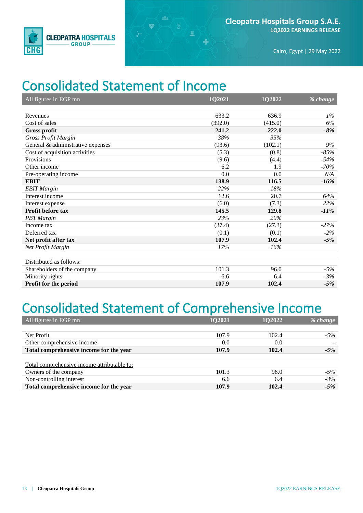

# Consolidated Statement of Income

 $\bullet$ 

| All figures in EGP mn             | 1Q2021  | 1Q2022  | % change |
|-----------------------------------|---------|---------|----------|
|                                   |         |         |          |
| Revenues                          | 633.2   | 636.9   | $1\%$    |
| Cost of sales                     | (392.0) | (415.0) | 6%       |
| <b>Gross profit</b>               | 241.2   | 222.0   | $-8%$    |
| <b>Gross Profit Margin</b>        | 38%     | 35%     |          |
| General & administrative expenses | (93.6)  | (102.1) | 9%       |
| Cost of acquisition activities    | (5.3)   | (0.8)   | $-85%$   |
| Provisions                        | (9.6)   | (4.4)   | $-54%$   |
| Other income                      | 6.2     | 1.9     | $-70%$   |
| Pre-operating income              | 0.0     | 0.0     | N/A      |
| <b>EBIT</b>                       | 138.9   | 116.5   | $-16%$   |
| <b>EBIT</b> Margin                | 22%     | 18%     |          |
| Interest income                   | 12.6    | 20.7    | 64%      |
| Interest expense                  | (6.0)   | (7.3)   | 22%      |
| Profit before tax                 | 145.5   | 129.8   | $-11%$   |
| <b>PBT</b> Margin                 | 23%     | 20%     |          |
| Income tax                        | (37.4)  | (27.3)  | $-27%$   |
| Deferred tax                      | (0.1)   | (0.1)   | $-2%$    |
| Net profit after tax              | 107.9   | 102.4   | $-5%$    |
| Net Profit Margin                 | 17%     | 16%     |          |
|                                   |         |         |          |
| Distributed as follows:           |         |         |          |
| Shareholders of the company       | 101.3   | 96.0    | $-5%$    |
| Minority rights                   | 6.6     | 6.4     | $-3%$    |
| Profit for the period             | 107.9   | 102.4   | $-5%$    |

# Consolidated Statement of Comprehensive Income

| All figures in EGP mn                       | 1Q2021 | <b>1Q2022</b> | % change |
|---------------------------------------------|--------|---------------|----------|
|                                             |        |               |          |
| Net Profit                                  | 107.9  | 102.4         | $-5\%$   |
| Other comprehensive income                  | 0.0    | 0.0           |          |
| Total comprehensive income for the year     | 107.9  | 102.4         | $-5%$    |
|                                             |        |               |          |
| Total comprehensive income attributable to: |        |               |          |
| Owners of the company                       | 101.3  | 96.0          | $-5\%$   |
| Non-controlling interest                    | 6.6    | 6.4           | $-3%$    |
| Total comprehensive income for the year     | 107.9  | 102.4         | $-5%$    |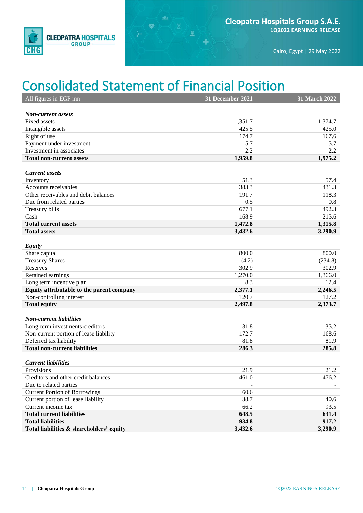

# Consolidated Statement of Financial Position

 $\bullet$ 

显

÷

| All figures in EGP mn                     | <b>31 December 2021</b> | 31 March 2022 |
|-------------------------------------------|-------------------------|---------------|
|                                           |                         |               |
| <b>Non-current assets</b>                 |                         |               |
| Fixed assets                              | 1,351.7                 | 1,374.7       |
| Intangible assets                         | 425.5                   | 425.0         |
| Right of use                              | 174.7                   | 167.6         |
| Payment under investment                  | 5.7                     | 5.7           |
| Investment in associates                  | 2.2                     | 2.2           |
| <b>Total non-current assets</b>           | 1,959.8                 | 1,975.2       |
| <b>Current assets</b>                     |                         |               |
| Inventory                                 | 51.3                    | 57.4          |
| Accounts receivables                      | 383.3                   | 431.3         |
| Other receivables and debit balances      | 191.7                   | 118.3         |
| Due from related parties                  | 0.5                     | 0.8           |
| Treasury bills                            | 677.1                   | 492.3         |
| Cash                                      | 168.9                   | 215.6         |
| <b>Total current assets</b>               | 1,472.8                 | 1,315.8       |
| <b>Total assets</b>                       | 3,432.6                 | 3,290.9       |
|                                           |                         |               |
| <b>Equity</b>                             |                         |               |
| Share capital                             | 800.0                   | 800.0         |
| <b>Treasury Shares</b>                    | (4.2)                   | (234.8)       |
| Reserves                                  | 302.9                   | 302.9         |
| Retained earnings                         | 1,270.0                 | 1,366.0       |
| Long term incentive plan                  | 8.3                     | 12.4          |
| Equity attributable to the parent company | 2,377.1                 | 2,246.5       |
| Non-controlling interest                  | 120.7                   | 127.2         |
| <b>Total equity</b>                       | 2,497.8                 | 2,373.7       |
|                                           |                         |               |
| <b>Non-current liabilities</b>            |                         |               |
| Long-term investments creditors           | 31.8                    | 35.2          |
| Non-current portion of lease liability    | 172.7                   | 168.6         |
| Deferred tax liability                    | 81.8                    | 81.9          |
| <b>Total non-current liabilities</b>      | 286.3                   | 285.8         |
|                                           |                         |               |
| <b>Current liabilities</b>                |                         |               |
| Provisions                                | 21.9                    | 21.2          |
| Creditors and other credit balances       | 461.0                   | 476.2         |
| Due to related parties                    |                         |               |
| <b>Current Portion of Borrowings</b>      | 60.6                    |               |
| Current portion of lease liability        | 38.7                    | 40.6          |
| Current income tax                        | 66.2                    | 93.5          |
| <b>Total current liabilities</b>          | 648.5                   | 631.4         |
| <b>Total liabilities</b>                  | 934.8                   | 917.2         |
| Total liabilities & shareholders' equity  | 3,432.6                 | 3,290.9       |